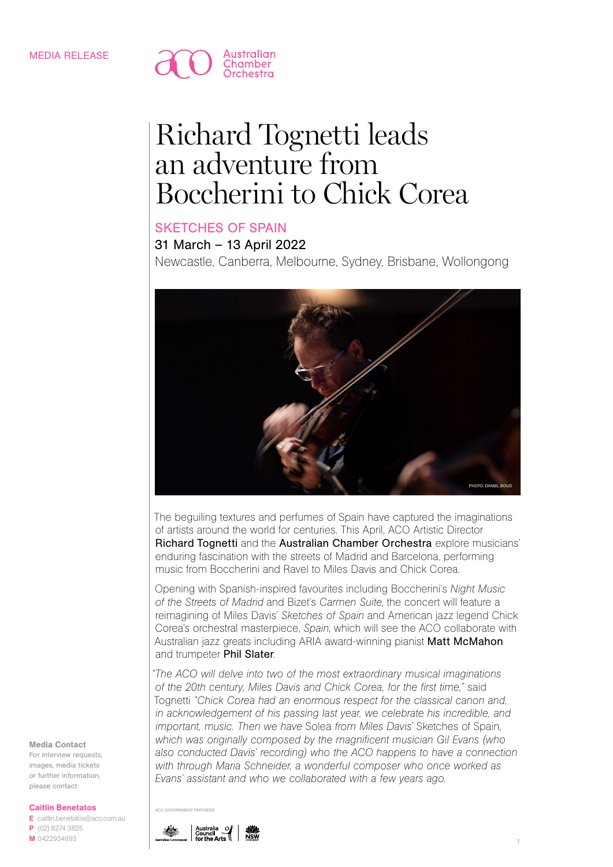

# Richard Tognetti leads an adventure from Boccherini to Chick Corea

# SKETCHES OF SPAIN

31 March – 13 April 2022

Newcastle, Canberra, Melbourne, Sydney, Brisbane, Wollongong



The beguiling textures and perfumes of Spain have captured the imaginations of artists around the world for centuries. This April, ACO Artistic Director Richard Tognetti and the Australian Chamber Orchestra explore musicians' enduring fascination with the streets of Madrid and Barcelona, performing music from Boccherini and Ravel to Miles Davis and Chick Corea.

Opening with Spanish-inspired favourites including Boccherini's *Night Music of the Streets of Madrid* and Bizet's *Carmen Suite*, the concert will feature a reimagining of Miles Davis' *Sketches of Spain* and American jazz legend Chick Corea's orchestral masterpiece, *Spain*, which will see the ACO collaborate with Australian jazz greats including ARIA award-winning pianist Matt McMahon and trumpeter Phil Slater.

*"The ACO will delve into two of the most extraordinary musical imaginations of the 20th century, Miles Davis and Chick Corea, for the first time,"* said Tognetti *"Chick Corea had an enormous respect for the classical canon and, in acknowledgement of his passing last year, we celebrate his incredible, and important, music. Then we have* Solea *from Miles Davis'* Sketches of Spain*, which was originally composed by the magnificent musician Gil Evans (who also conducted Davis' recording) who the ACO happens to have a connection with through Maria Schneider, a wonderful composer who once worked as Evans' assistant and who we collaborated with a few years ago.*



E caitlin.benetatos@aco.com.au P (02) 8274 3825 M 0422934693

Media Contact For interview requests, images, media tickets or further information, please contact:



ACO GOVERNMENT PARTNERS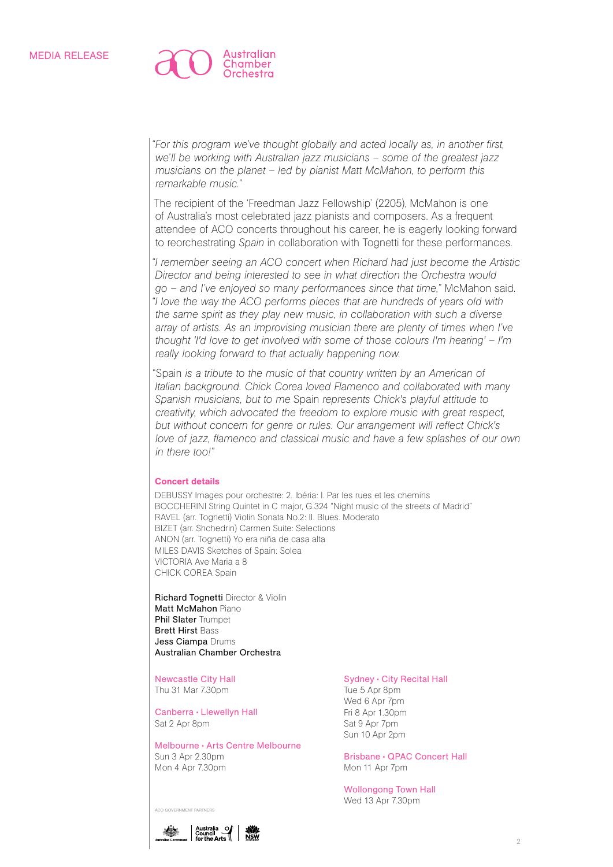

*"For this program we've thought globally and acted locally as, in another first, we'll be working with Australian jazz musicians – some of the greatest jazz musicians on the planet – led by pianist Matt McMahon, to perform this remarkable music."*

The recipient of the 'Freedman Jazz Fellowship' (2205), McMahon is one of Australia's most celebrated jazz pianists and composers. As a frequent attendee of ACO concerts throughout his career, he is eagerly looking forward to reorchestrating *Spain* in collaboration with Tognetti for these performances.

*"I remember seeing an ACO concert when Richard had just become the Artistic Director and being interested to see in what direction the Orchestra would go – and I've enjoyed so many performances since that time,"* McMahon said. *"I love the way the ACO performs pieces that are hundreds of years old with the same spirit as they play new music, in collaboration with such a diverse array of artists. As an improvising musician there are plenty of times when I've thought 'I'd love to get involved with some of those colours I'm hearing' – I'm really looking forward to that actually happening now.*

"Spain *is a tribute to the music of that country written by an American of Italian background. Chick Corea loved Flamenco and collaborated with many Spanish musicians, but to me* Spain *represents Chick's playful attitude to creativity, which advocated the freedom to explore music with great respect, but without concern for genre or rules. Our arrangement will reflect Chick's love of jazz, flamenco and classical music and have a few splashes of our own in there too!"* 

#### Concert details

DEBUSSY Images pour orchestre: 2. Ibéria: I. Par les rues et les chemins BOCCHERINI String Quintet in C major, G.324 "Night music of the streets of Madrid" RAVEL (arr. Tognetti) Violin Sonata No.2: II. Blues. Moderato BIZET (arr. Shchedrin) Carmen Suite: Selections ANON (arr. Tognetti) Yo era niña de casa alta MILES DAVIS Sketches of Spain: Solea VICTORIA Ave Maria a 8 CHICK COREA Spain

Richard Tognetti Director & Violin Matt McMahon Piano Phil Slater Trumpet Brett Hirst Bass Jess Ciampa Drums Australian Chamber Orchestra

Newcastle City Hall Thu 31 Mar 7.30pm

Canberra • Llewellyn Hall Sat 2 Apr 8pm

Melbourne • Arts Centre Melbourne Sun 3 Apr 2.30pm Mon 4 Apr 7.30pm

### Sydney • City Recital Hall

Tue 5 Apr 8pm Wed 6 Apr 7pm Fri 8 Apr 1.30pm Sat 9 Apr 7pm Sun 10 Apr 2pm

Brisbane • QPAC Concert Hall Mon 11 Apr 7pm

Wollongong Town Hall Wed 13 Apr 7.30pm



ACO GOVERNMENT PARTNERS